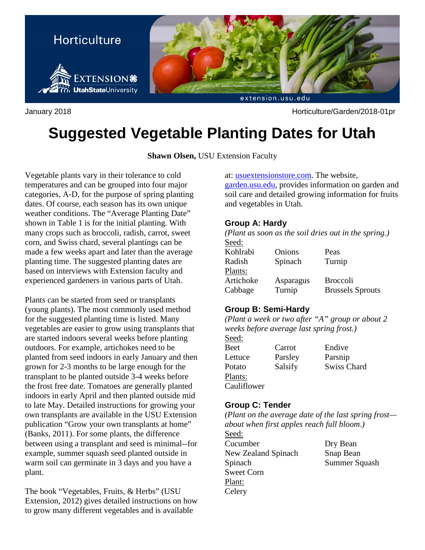

January 2018 Horticulture/Garden/2018-01pr

# **Suggested Vegetable Planting Dates for Utah**

**Shawn Olsen,** USU Extension Faculty

Vegetable plants vary in their tolerance to cold temperatures and can be grouped into four major categories, A-D, for the purpose of spring planting dates. Of course, each season has its own unique weather conditions. The "Average Planting Date" shown in Table 1 is for the initial planting. With many crops such as broccoli, radish, carrot, sweet corn, and Swiss chard, several plantings can be made a few weeks apart and later than the average planting time. The suggested planting dates are based on interviews with Extension faculty and experienced gardeners in various parts of Utah.

Plants can be started from seed or transplants (young plants). The most commonly used method for the suggested planting time is listed. Many vegetables are easier to grow using transplants that are started indoors several weeks before planting outdoors. For example, artichokes need to be planted from seed indoors in early January and then grown for 2-3 months to be large enough for the transplant to be planted outside 3-4 weeks before the frost free date. Tomatoes are generally planted indoors in early April and then planted outside mid to late May. Detailed instructions for growing your own transplants are available in the USU Extension publication "Grow your own transplants at home" (Banks, 2011). For some plants, the difference between using a transplant and seed is minimal--for example, summer squash seed planted outside in warm soil can germinate in 3 days and you have a plant.

The book "Vegetables, Fruits, & Herbs" (USU Extension, 2012) gives detailed instructions on how to grow many different vegetables and is available

at: usuextensionstore.com. The website,

garden.usu.edu, provides information on garden and soil care and detailed growing information for fruits and vegetables in Utah.

### **Group A: Hardy**

*(Plant as soon as the soil dries out in the spring.)* Seed:

| Onions    | Peas                    |
|-----------|-------------------------|
| Spinach   | Turnip                  |
|           |                         |
| Asparagus | <b>Broccoli</b>         |
| Turnip    | <b>Brussels Sprouts</b> |
|           |                         |

## **Group B: Semi-Hardy**

*(Plant a week or two after "A" group or about 2 weeks before average last spring frost.)*

Seed: Beet Carrot Endive Plants: Cauliflower

Lettuce Parsley Parsnip Potato Salsify Swiss Chard

## **Group C: Tender**

*(Plant on the average date of the last spring frost about when first apples reach full bloom.)*

Seed: Cucumber Dry Bean New Zealand Spinach Snap Bean Spinach Summer Squash Sweet Corn Plant: **Celery**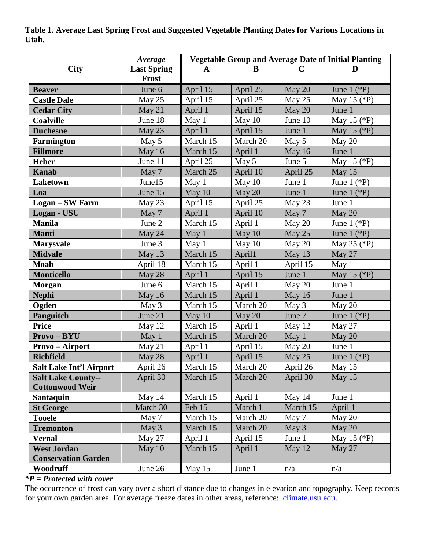**Table 1. Average Last Spring Frost and Suggested Vegetable Planting Dates for Various Locations in Utah.**

|                                | Average            | <b>Vegetable Group and Average Date of Initial Planting</b> |          |             |                     |
|--------------------------------|--------------------|-------------------------------------------------------------|----------|-------------|---------------------|
| <b>City</b>                    | <b>Last Spring</b> | $\mathbf{A}$                                                | B        | $\mathbf C$ | D                   |
|                                | Frost              |                                                             |          |             |                     |
| <b>Beaver</b>                  | June 6             | April 15                                                    | April 25 | May 20      | June $1$ (*P)       |
| <b>Castle Dale</b>             | May 25             | April 15                                                    | April 25 | May 25      | May 15 $(*P)$       |
| <b>Cedar City</b>              | May 21             | April 1                                                     | April 15 | May 20      | June 1              |
| <b>Coalville</b>               | June 18            | May 1                                                       | May 10   | June 10     | May 15 (*P)         |
| <b>Duchesne</b>                | May 23             | April 1                                                     | April 15 | June 1      | May 15 $(*P)$       |
| <b>Farmington</b>              | May 5              | March 15                                                    | March 20 | May 5       | May 20              |
| <b>Fillmore</b>                | May 16             | March 15                                                    | April 1  | May 16      | June 1              |
| <b>Heber</b>                   | June 11            | April 25                                                    | May 5    | June 5      | May 15 $(*P)$       |
| <b>Kanab</b>                   | May 7              | March 25                                                    | April 10 | April 25    | May 15              |
| <b>Laketown</b>                | June15             | May 1                                                       | May 10   | June 1      | June $1$ (*P)       |
| Loa                            | June 15            | May 10                                                      | May 20   | June 1      | June $1$ (*P)       |
| <b>Logan - SW Farm</b>         | May 23             | April 15                                                    | April 25 | May 23      | June 1              |
| Logan - USU                    | May 7              | April 1                                                     | April 10 | May 7       | May 20              |
| <b>Manila</b>                  | June 2             | March 15                                                    | April 1  | May 20      | June $1$ (*P)       |
| <b>Manti</b>                   | May 24             | May 1                                                       | May 10   | May 25      | June $1$ (*P)       |
| <b>Marysvale</b>               | June 3             | May 1                                                       | May 10   | May 20      | May 25 (*P)         |
| <b>Midvale</b>                 | May 13             | March 15                                                    | April1   | May 13      | May 27              |
| <b>Moab</b>                    | April 18           | March 15                                                    | April 1  | April 15    | May 1               |
| <b>Monticello</b>              | May 28             | April 1                                                     | April 15 | June 1      | May 15 $(*P)$       |
| <b>Morgan</b>                  | June 6             | March 15                                                    | April 1  | May 20      | June 1              |
| <b>Nephi</b>                   | May 16             | March 15                                                    | April 1  | May 16      | June 1              |
| Ogden                          | May 3              | March 15                                                    | March 20 | May 3       | May 20              |
| <b>Panguitch</b>               | June 21            | May 10                                                      | May 20   | June 7      | June $1$ (*P)       |
| <b>Price</b>                   | May 12             | March 15                                                    | April 1  | May 12      | May 27              |
| Provo-BYU                      | May 1              | March 15                                                    | March 20 | May 1       | May 20              |
| <b>Provo</b> – Airport         | May 21             | April 1                                                     | April 15 | May 20      | June 1              |
| <b>Richfield</b>               | May 28             | April 1                                                     | April 15 | May 25      | June $1$ (*P)       |
| <b>Salt Lake Int'l Airport</b> | April 26           | March 15                                                    | March 20 | April 26    | $\overline{$ May 15 |
| <b>Salt Lake County--</b>      | April 30           | March 15                                                    | March 20 | April 30    | May 15              |
| <b>Cottonwood Weir</b>         |                    |                                                             |          |             |                     |
| <b>Santaquin</b>               | May 14             | March 15                                                    | April 1  | May 14      | June 1              |
| <b>St George</b>               | March 30           | Feb 15                                                      | March 1  | March 15    | April 1             |
| <b>Tooele</b>                  | May 7              | March 15                                                    | March 20 | May 7       | May 20              |
| <b>Tremonton</b>               | May 3              | March 15                                                    | March 20 | May 3       | May 20              |
| <b>Vernal</b>                  | May 27             | April 1                                                     | April 15 | June 1      | May 15 $(*P)$       |
| <b>West Jordan</b>             | May $10$           | March 15                                                    | April 1  | May 12      | May 27              |
| <b>Conservation Garden</b>     |                    |                                                             |          |             |                     |
| Woodruff                       | June 26            | May 15                                                      | June 1   | n/a         | n/a                 |

## *\*P = Protected with cover*

The occurrence of frost can vary over a short distance due to changes in elevation and topography. Keep records for your own garden area. For average freeze dates in other areas, reference: [climate.usu.edu.](http://www.climate.usu.edu/)